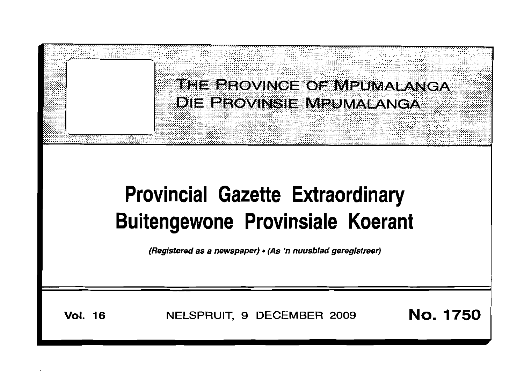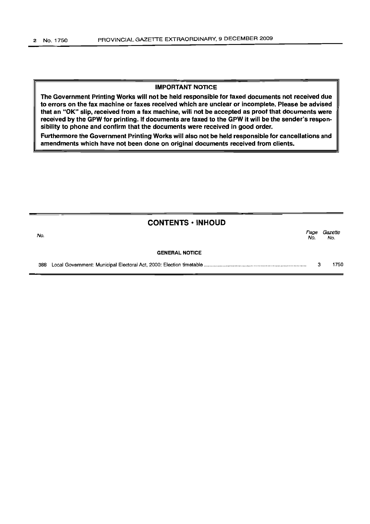## **IMPORTANT NOTICE**

The Government Printing Works will not be held responsible for faxed documents not received due to errors on the fax machine or faxes received which are unclear or incomplete. Please be advised that an "OK" slip, received from a fax machine, will not be accepted as proof that documents were received by the GPW for printing. If documents are faxed to the GPW it will be the sender's responsibility to phone and confirm that the documents were received in good order.

Furthermore the Government Printing Works will also not be held responsible for cancellations and amendments which have not been done on original documents received from clients.

# CONTENTS • INHOUD

| No.                   | Page<br>No. | Gazette<br>No. |
|-----------------------|-------------|----------------|
| <b>GENERAL NOTICE</b> |             |                |
| 388                   |             | 1750           |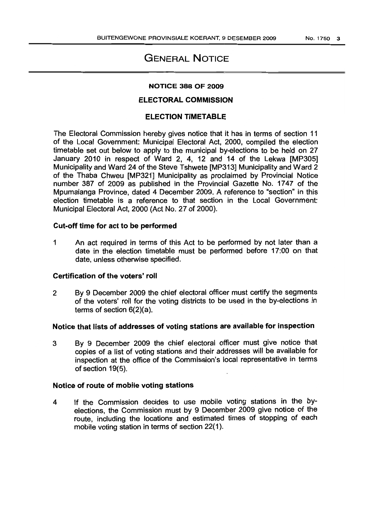# GENERAL NOTICE

#### NOTICE 388 OF 2009

## ELECTORAL COMMISSION

# ELECTION TIMETABLE

The Electoral Commission hereby gives notice that it has in terms of section 11 of the Local Government: Municipal Electoral Act, 2000, compiled the election timetable set out below to apply to the municipal by-elections to be held on 27 January 2010 in respect of Ward 2, 4, 12 and 14 of the Lekwa [MP305] Municipality and Ward 24 of the Steve Tshwete [MP313] Municipality and Ward 2 of the Thaba Chweu [MP321] Municipality as proclaimed by Provincial Notice number 387 of 2009 as published in the Provincial Gazette No. 1747 of the Mpumalanga Province, dated 4 December 2009. A reference to "section" in this election timetable is a reference to that section in the Local Government: Municipal Electoral Act, 2000 (Act No. 27 of 2000).

#### Cut-off time for act to be performed

1 An act required in terms of this Act to be performed by not later than a date in the election timetable must be performed before 17:00 on that date, unless otherwise specified.

## Certification of the voters' roll

2 By 9 December 2009 the chief electoral officer must certify the segments of the voters' roll for the voting districts to be used in the by-elections in terms of section 6(2)(a).

# Notice that lists of addresses of voting stations are available for inspection

3 By 9 December 2009 the chief electoral officer must give notice that copies of a list of voting stations and their addresses will be available for inspection at the office of the Commission's local representative in terms of section 19(5).

## Notice of route of mobile voting stations

4 If the Commission decides to use mobile voting stations in the byelections, the Commission must by 9 December 2009 give notice of the route, including the locations and estimated times of stopping of each mobile voting station in terms of section 22(1).